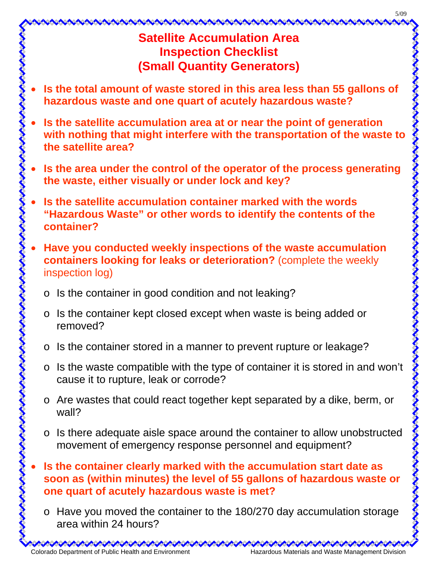## 5/09

## **Satellite Accumulation Area Inspection Checklist (Small Quantity Generators)**

- **Is the total amount of waste stored in this area less than 55 gallons of hazardous waste and one quart of acutely hazardous waste?**
- **Is the satellite accumulation area at or near the point of generation with nothing that might interfere with the transportation of the waste to the satellite area?**
- **Is the area under the control of the operator of the process generating the waste, either visually or under lock and key?**
- **Is the satellite accumulation container marked with the words "Hazardous Waste" or other words to identify the contents of the container?**
- **Have you conducted weekly inspections of the waste accumulation containers looking for leaks or deterioration?** (complete the weekly inspection log)
	- o Is the container in good condition and not leaking?
	- o Is the container kept closed except when waste is being added or removed?
	- o Is the container stored in a manner to prevent rupture or leakage?
	- o Is the waste compatible with the type of container it is stored in and won't cause it to rupture, leak or corrode?
	- o Are wastes that could react together kept separated by a dike, berm, or wall?
	- o Is there adequate aisle space around the container to allow unobstructed movement of emergency response personnel and equipment?
- **Is the container clearly marked with the accumulation start date as soon as (within minutes) the level of 55 gallons of hazardous waste or one quart of acutely hazardous waste is met?** 
	- o Have you moved the container to the 180/270 day accumulation storage area within 24 hours?